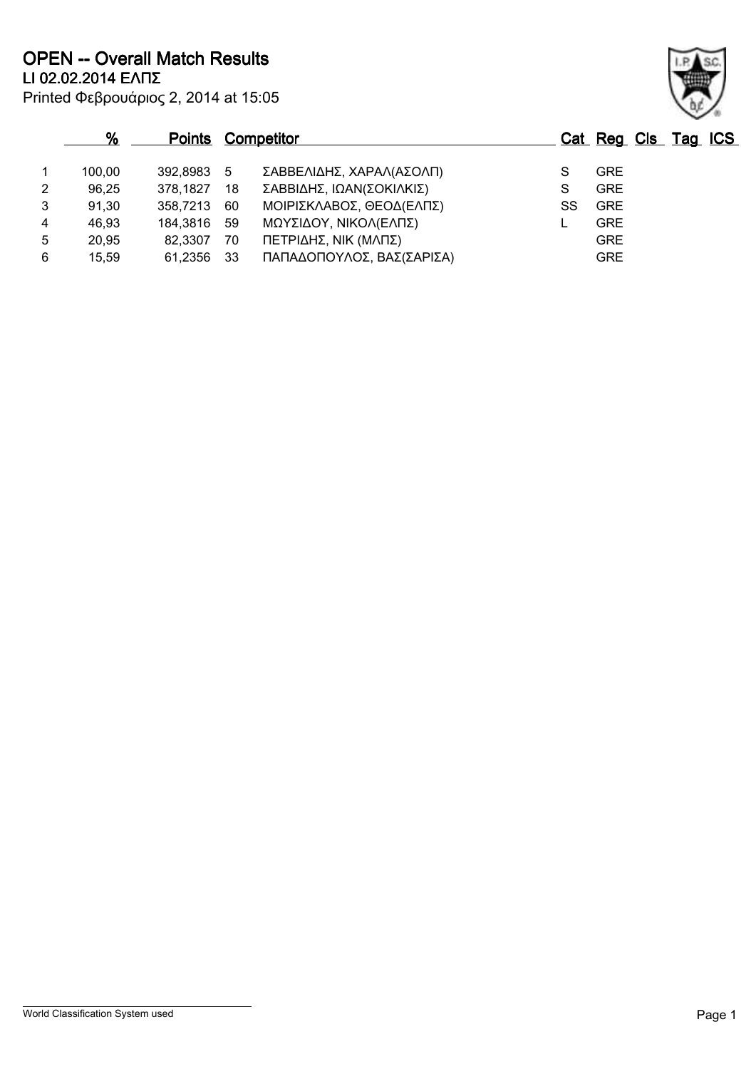Printed Φεβρουάριος 2, 2014 at 15:05 **LI 02.02.2014 ΕΛΠΣ OPEN -- Overall Match Results**

|   | %      |             |      | <b>Points Competitor</b>  |    |            | Cat Reg Cls Tag ICS |
|---|--------|-------------|------|---------------------------|----|------------|---------------------|
|   | 100.00 | 392,8983 5  |      | ΣΑΒΒΕΛΙΔΗΣ, ΧΑΡΑΛ(ΑΣΟΛΠ)  |    | <b>GRE</b> |                     |
| 2 | 96,25  | 378,1827    | 18   | ΣΑΒΒΙΔΗΣ, ΙΩΑΝ(ΣΟΚΙΛΚΙΣ)  |    | <b>GRE</b> |                     |
| 3 | 91,30  | 358,7213    | 60   | ΜΟΙΡΙΣΚΛΑΒΟΣ, ΘΕΟΔ(ΕΛΠΣ)  | SS | <b>GRE</b> |                     |
| 4 | 46,93  | 184,3816 59 |      | ΜΩΥΣΙΔΟΥ, ΝΙΚΟΛ(ΕΛΠΣ)     |    | <b>GRE</b> |                     |
| 5 | 20,95  | 82,3307     | 70   | ΠΕΤΡΙΔΗΣ, ΝΙΚ (ΜΛΠΣ)      |    | <b>GRE</b> |                     |
| 6 | 15,59  | 61,2356     | - 33 | ΠΑΠΑΔΟΠΟΥΛΟΣ, ΒΑΣ(ΣΑΡΙΣΑ) |    | <b>GRE</b> |                     |

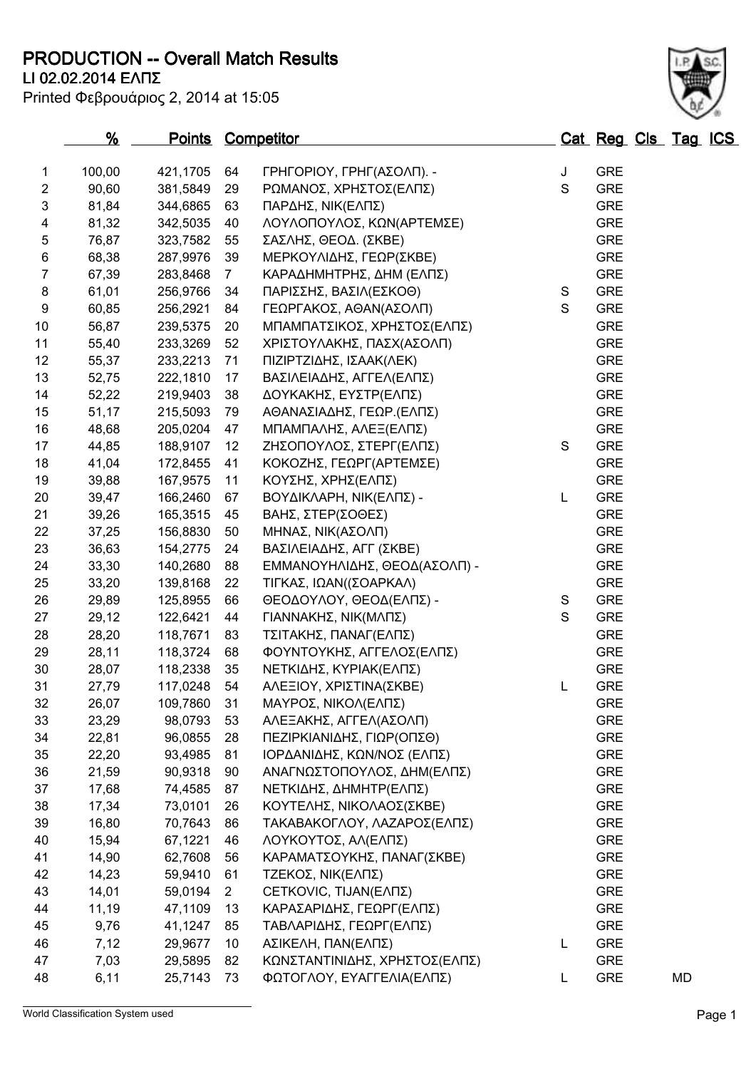**PRODUCTION -- Overall Match Results**

Printed Φεβρουάριος 2, 2014 at 15:05

# **LI 02.02.2014 ΕΛΠΣ**

|                | <u>%</u> |          |              | Points Competitor             |             | Cat Reg Cls Tag ICS |    |  |
|----------------|----------|----------|--------------|-------------------------------|-------------|---------------------|----|--|
| 1              | 100,00   | 421,1705 | 64           | ΓΡΗΓΟΡΙΟΥ, ΓΡΗΓ(ΑΣΟΛΠ). -     | J           | <b>GRE</b>          |    |  |
| $\overline{2}$ | 90,60    | 381,5849 | 29           | ΡΩΜΑΝΟΣ, ΧΡΗΣΤΟΣ(ΕΛΠΣ)        | $\mathbf S$ | <b>GRE</b>          |    |  |
| 3              | 81,84    | 344,6865 | 63           | ΠΑΡΔΗΣ, ΝΙΚ(ΕΛΠΣ)             |             | <b>GRE</b>          |    |  |
| 4              | 81,32    | 342,5035 | 40           | ΛΟΥΛΟΠΟΥΛΟΣ, ΚΩΝ(ΑΡΤΕΜΣΕ)     |             | <b>GRE</b>          |    |  |
| 5              | 76,87    | 323,7582 | 55           | ΣΑΣΛΗΣ, ΘΕΟΔ. (ΣΚΒΕ)          |             | <b>GRE</b>          |    |  |
| 6              | 68,38    | 287,9976 | 39           | ΜΕΡΚΟΥΛΙΔΗΣ, ΓΕΩΡ(ΣΚΒΕ)       |             | <b>GRE</b>          |    |  |
| 7              | 67,39    | 283,8468 | $7^{\circ}$  | ΚΑΡΑΔΗΜΗΤΡΗΣ, ΔΗΜ (ΕΛΠΣ)      |             | <b>GRE</b>          |    |  |
| 8              | 61,01    | 256,9766 | 34           | ΠΑΡΙΣΣΗΣ, ΒΑΣΙΛ(ΕΣΚΟΘ)        | S           | <b>GRE</b>          |    |  |
| 9              | 60,85    | 256,2921 | 84           | ΓΕΩΡΓΑΚΟΣ, ΑΘΑΝ(ΑΣΟΛΠ)        | S           | <b>GRE</b>          |    |  |
| 10             | 56,87    | 239,5375 | 20           | ΜΠΑΜΠΑΤΣΙΚΟΣ, ΧΡΗΣΤΟΣ(ΕΛΠΣ)   |             | <b>GRE</b>          |    |  |
| 11             | 55,40    | 233,3269 | 52           | ΧΡΙΣΤΟΥΛΑΚΗΣ, ΠΑΣΧ(ΑΣΟΛΠ)     |             | <b>GRE</b>          |    |  |
| 12             | 55,37    | 233,2213 | 71           | ΠΙΖΙΡΤΖΙΔΗΣ, ΙΣΑΑΚ(ΛΕΚ)       |             | <b>GRE</b>          |    |  |
| 13             | 52,75    | 222,1810 | 17           | ΒΑΣΙΛΕΙΑΔΗΣ, ΑΓΓΕΛ(ΕΛΠΣ)      |             | <b>GRE</b>          |    |  |
| 14             | 52,22    | 219,9403 | 38           | ΔΟΥΚΑΚΗΣ, ΕΥΣΤΡ(ΕΛΠΣ)         |             | <b>GRE</b>          |    |  |
| 15             | 51,17    | 215,5093 | 79           | ΑΘΑΝΑΣΙΑΔΗΣ, ΓΕΩΡ. (ΕΛΠΣ)     |             | <b>GRE</b>          |    |  |
| 16             | 48,68    | 205,0204 | 47           | ΜΠΑΜΠΑΛΗΣ, ΑΛΕΞ(ΕΛΠΣ)         |             | <b>GRE</b>          |    |  |
| 17             | 44,85    | 188,9107 | 12           | ΖΗΣΟΠΟΥΛΟΣ, ΣΤΕΡΓ(ΕΛΠΣ)       | $\mathbf S$ | <b>GRE</b>          |    |  |
| 18             | 41,04    | 172,8455 | 41           | ΚΟΚΟΖΗΣ, ΓΕΩΡΓ(ΑΡΤΕΜΣΕ)       |             | <b>GRE</b>          |    |  |
| 19             | 39,88    | 167,9575 | 11           | ΚΟΥΣΗΣ, ΧΡΗΣ(ΕΛΠΣ)            |             | <b>GRE</b>          |    |  |
| 20             | 39,47    | 166,2460 | 67           | ΒΟΥΔΙΚΛΑΡΗ, ΝΙΚ(ΕΛΠΣ) -       | L           | <b>GRE</b>          |    |  |
| 21             | 39,26    | 165,3515 | 45           | ΒΑΗΣ, ΣΤΕΡ(ΣΟΘΕΣ)             |             | <b>GRE</b>          |    |  |
| 22             | 37,25    | 156,8830 | 50           | ΜΗΝΑΣ, ΝΙΚ(ΑΣΟΛΠ)             |             | <b>GRE</b>          |    |  |
| 23             | 36,63    | 154,2775 | 24           | ΒΑΣΙΛΕΙΑΔΗΣ, ΑΓΓ (ΣΚΒΕ)       |             | <b>GRE</b>          |    |  |
| 24             | 33,30    | 140,2680 | 88           | ΕΜΜΑΝΟΥΗΛΙΔΗΣ, ΘΕΟΔ(ΑΣΟΛΠ) -  |             | <b>GRE</b>          |    |  |
| 25             | 33,20    | 139,8168 | 22           | ΤΙΓΚΑΣ, ΙΩΑΝ((ΣΟΑΡΚΑΛ)        |             | <b>GRE</b>          |    |  |
| 26             | 29,89    | 125,8955 | 66           | ΘΕΟΔΟΥΛΟΥ, ΘΕΟΔ(ΕΛΠΣ) -       | S           | <b>GRE</b>          |    |  |
| 27             | 29,12    | 122,6421 | 44           | ΓΙΑΝΝΑΚΗΣ, ΝΙΚ(ΜΛΠΣ)          | S           | <b>GRE</b>          |    |  |
| 28             | 28,20    | 118,7671 | 83           | ΤΣΙΤΑΚΗΣ, ΠΑΝΑΓ(ΕΛΠΣ)         |             | <b>GRE</b>          |    |  |
| 29             | 28,11    | 118,3724 | 68           | ΦΟΥΝΤΟΥΚΗΣ, ΑΓΓΕΛΟΣ(ΕΛΠΣ)     |             | <b>GRE</b>          |    |  |
| 30             | 28,07    | 118,2338 | 35           | ΝΕΤΚΙΔΗΣ, ΚΥΡΙΑΚ(ΕΛΠΣ)        |             | <b>GRE</b>          |    |  |
| 31             | 27,79    | 117,0248 | 54           | ΑΛΕΞΙΟΥ, ΧΡΙΣΤΙΝΑ(ΣΚΒΕ)       | L           | <b>GRE</b>          |    |  |
| 32             | 26,07    | 109,7860 | 31           | ΜΑΥΡΟΣ, ΝΙΚΟΛ(ΕΛΠΣ)           |             | <b>GRE</b>          |    |  |
| 33             | 23,29    | 98,0793  | 53           | ΑΛΕΞΑΚΗΣ, ΑΓΓΕΛ(ΑΣΟΛΠ)        |             | <b>GRE</b>          |    |  |
| 34             | 22,81    | 96,0855  | 28           | ΠΕΖΙΡΚΙΑΝΙΔΗΣ, ΓΙΩΡ(ΟΠΣΘ)     |             | <b>GRE</b>          |    |  |
| 35             | 22,20    | 93,4985  | 81           | ΙΟΡΔΑΝΙΔΗΣ, ΚΩΝ/ΝΟΣ (ΕΛΠΣ)    |             | <b>GRE</b>          |    |  |
| 36             | 21,59    | 90,9318  | 90           | ΑΝΑΓΝΩΣΤΟΠΟΥΛΟΣ, ΔΗΜ(ΕΛΠΣ)    |             | <b>GRE</b>          |    |  |
| 37             | 17,68    | 74,4585  | 87           | ΝΕΤΚΙΔΗΣ, ΔΗΜΗΤΡ(ΕΛΠΣ)        |             | <b>GRE</b>          |    |  |
| 38             | 17,34    | 73,0101  | 26           | ΚΟΥΤΕΛΗΣ, ΝΙΚΟΛΑΟΣ(ΣΚΒΕ)      |             | <b>GRE</b>          |    |  |
| 39             | 16,80    | 70,7643  | 86           | ΤΑΚΑΒΑΚΟΓΛΟΥ, ΛΑΖΑΡΟΣ(ΕΛΠΣ)   |             | <b>GRE</b>          |    |  |
| 40             | 15,94    | 67,1221  | 46           | ΛΟΥΚΟΥΤΟΣ, ΑΛ(ΕΛΠΣ)           |             | <b>GRE</b>          |    |  |
| 41             | 14,90    | 62,7608  | 56           | ΚΑΡΑΜΑΤΣΟΥΚΗΣ, ΠΑΝΑΓ(ΣΚΒΕ)    |             | <b>GRE</b>          |    |  |
| 42             | 14,23    | 59,9410  | 61           | ΤΖΕΚΟΣ, ΝΙΚ(ΕΛΠΣ)             |             | <b>GRE</b>          |    |  |
| 43             | 14,01    | 59,0194  | $\mathbf{2}$ | CETKOVIC, TIJAN(ΕΛΠΣ)         |             | <b>GRE</b>          |    |  |
| 44             | 11,19    | 47,1109  | 13           | ΚΑΡΑΣΑΡΙΔΗΣ, ΓΕΩΡΓ(ΕΛΠΣ)      |             | <b>GRE</b>          |    |  |
| 45             | 9,76     | 41,1247  | 85           | ΤΑΒΛΑΡΙΔΗΣ, ΓΕΩΡΓ(ΕΛΠΣ)       |             | <b>GRE</b>          |    |  |
| 46             | 7,12     | 29,9677  | 10           | ΑΣΙΚΕΛΗ, ΠΑΝ(ΕΛΠΣ)            | L           | <b>GRE</b>          |    |  |
| 47             | 7,03     | 29,5895  | 82           | ΚΩΝΣΤΑΝΤΙΝΙΔΗΣ, ΧΡΗΣΤΟΣ(ΕΛΠΣ) |             | <b>GRE</b>          |    |  |
| 48             | 6,11     | 25,7143  | 73           | ΦΩΤΟΓΛΟΥ, ΕΥΑΓΓΕΛΙΑ(ΕΛΠΣ)     | L           | <b>GRE</b>          | MD |  |
|                |          |          |              |                               |             |                     |    |  |

World Classification System used **Page 1** 

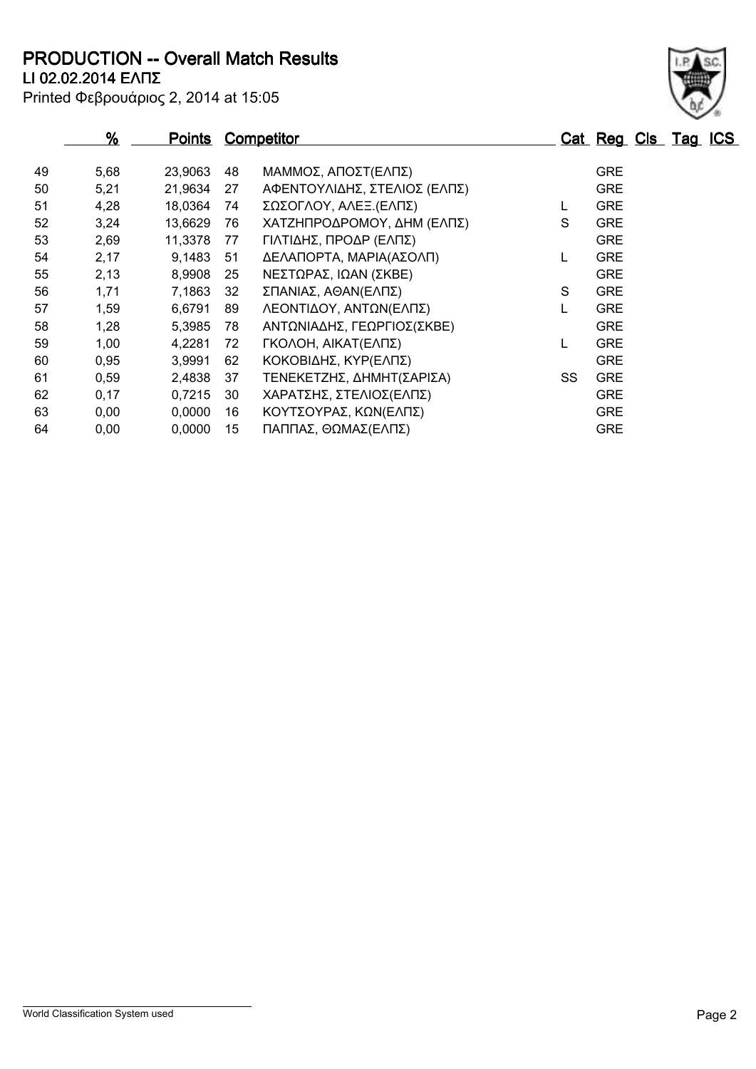**LI 02.02.2014 ΕΛΠΣ PRODUCTION -- Overall Match Results**

|  | Printed Φεβρουάριος 2, 2014 at 15:05 |  |  |  |
|--|--------------------------------------|--|--|--|
|--|--------------------------------------|--|--|--|

|    | %    | <b>Points</b> |    | <b>Competitor</b>            |    | Cat Reg Cls Tag ICS |  |  |
|----|------|---------------|----|------------------------------|----|---------------------|--|--|
|    |      |               |    |                              |    |                     |  |  |
| 49 | 5,68 | 23,9063       | 48 | ΜΑΜΜΟΣ, ΑΠΟΣΤ(ΕΛΠΣ)          |    | <b>GRE</b>          |  |  |
| 50 | 5,21 | 21,9634       | 27 | ΑΦΕΝΤΟΥΛΙΔΗΣ, ΣΤΕΛΙΟΣ (ΕΛΠΣ) |    | <b>GRE</b>          |  |  |
| 51 | 4,28 | 18,0364       | 74 | ΣΩΣΟΓΛΟΥ, ΑΛΕΞ.(ΕΛΠΣ)        |    | <b>GRE</b>          |  |  |
| 52 | 3,24 | 13,6629       | 76 | ΧΑΤΖΗΠΡΟΔΡΟΜΟΥ, ΔΗΜ (ΕΛΠΣ)   | S  | <b>GRE</b>          |  |  |
| 53 | 2,69 | 11,3378       | 77 | ΓΙΛΤΙΔΗΣ, ΠΡΟΔΡ (ΕΛΠΣ)       |    | <b>GRE</b>          |  |  |
| 54 | 2,17 | 9,1483        | 51 | ΔΕΛΑΠΟΡΤΑ, ΜΑΡΙΑ(ΑΣΟΛΠ)      |    | <b>GRE</b>          |  |  |
| 55 | 2,13 | 8,9908        | 25 | ΝΕΣΤΩΡΑΣ, ΙΩΑΝ (ΣΚΒΕ)        |    | <b>GRE</b>          |  |  |
| 56 | 1,71 | 7,1863        | 32 | ΣΠΑΝΙΑΣ, ΑΘΑΝ(ΕΛΠΣ)          | S  | <b>GRE</b>          |  |  |
| 57 | 1,59 | 6,6791        | 89 | ΛΕΟΝΤΙΔΟΥ, ΑΝΤΩΝ(ΕΛΠΣ)       |    | <b>GRE</b>          |  |  |
| 58 | 1,28 | 5,3985        | 78 | ΑΝΤΩΝΙΑΔΗΣ, ΓΕΩΡΓΙΟΣ(ΣΚΒΕ)   |    | <b>GRE</b>          |  |  |
| 59 | 1,00 | 4,2281        | 72 | ΓΚΟΛΟΗ, ΑΙΚΑΤ(ΕΛΠΣ)          |    | <b>GRE</b>          |  |  |
| 60 | 0,95 | 3,9991        | 62 | ΚΟΚΟΒΙΔΗΣ, ΚΥΡ(ΕΛΠΣ)         |    | <b>GRE</b>          |  |  |
| 61 | 0,59 | 2,4838        | 37 | ΤΕΝΕΚΕΤΖΗΣ, ΔΗΜΗΤ(ΣΑΡΙΣΑ)    | SS | <b>GRE</b>          |  |  |
| 62 | 0,17 | 0,7215        | 30 | ΧΑΡΑΤΣΗΣ, ΣΤΕΛΙΟΣ(ΕΛΠΣ)      |    | <b>GRE</b>          |  |  |
| 63 | 0,00 | 0,0000        | 16 | ΚΟΥΤΣΟΥΡΑΣ, ΚΩΝ(ΕΛΠΣ)        |    | <b>GRE</b>          |  |  |
| 64 | 0,00 | 0,0000        | 15 | ΠΑΠΠΑΣ, ΘΩΜΑΣ(ΕΛΠΣ)          |    | <b>GRE</b>          |  |  |

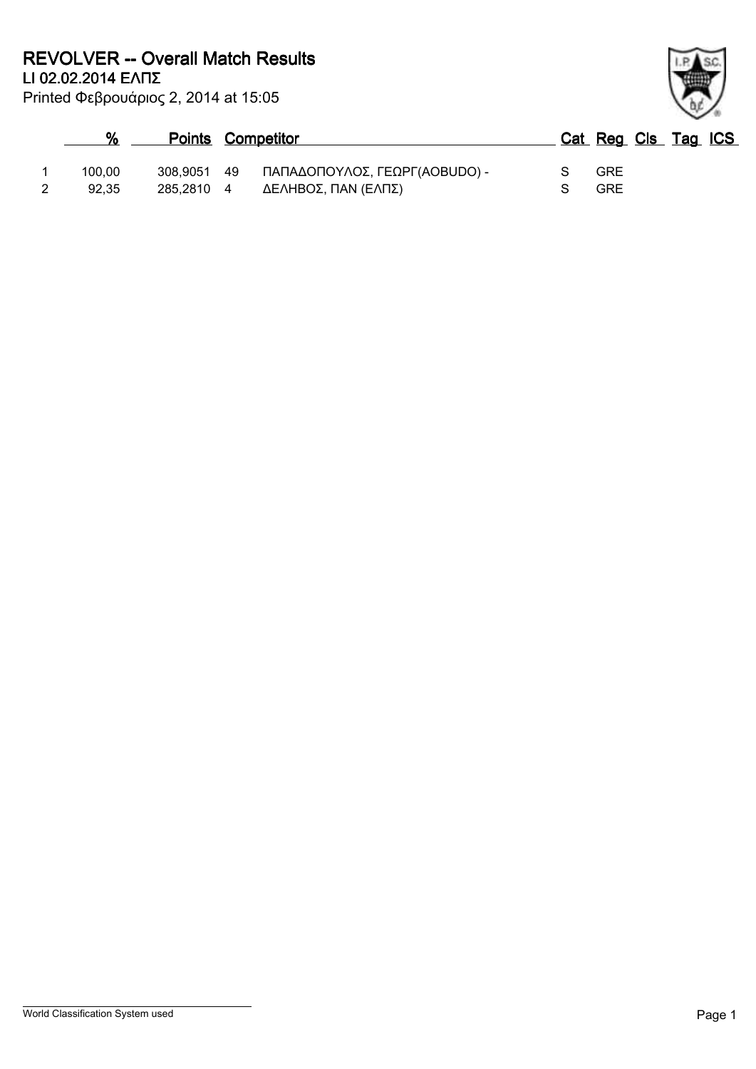|        | <b>Points Competitor</b> |                                  | Cat Reg Cls Tag ICS |  |  |
|--------|--------------------------|----------------------------------|---------------------|--|--|
| 100.00 | 308.9051                 | 49 ΠΑΠΑΔΟΠΟΥΛΟΣ, ΓΕΩΡΓ(ΑΟΒUDO) - | <b>GRE</b>          |  |  |
| 92.35  | 285.2810 4               | ΔΕΛΗΒΟΣ, ΠΑΝ (ΕΛΠΣ)              | <b>GRE</b>          |  |  |

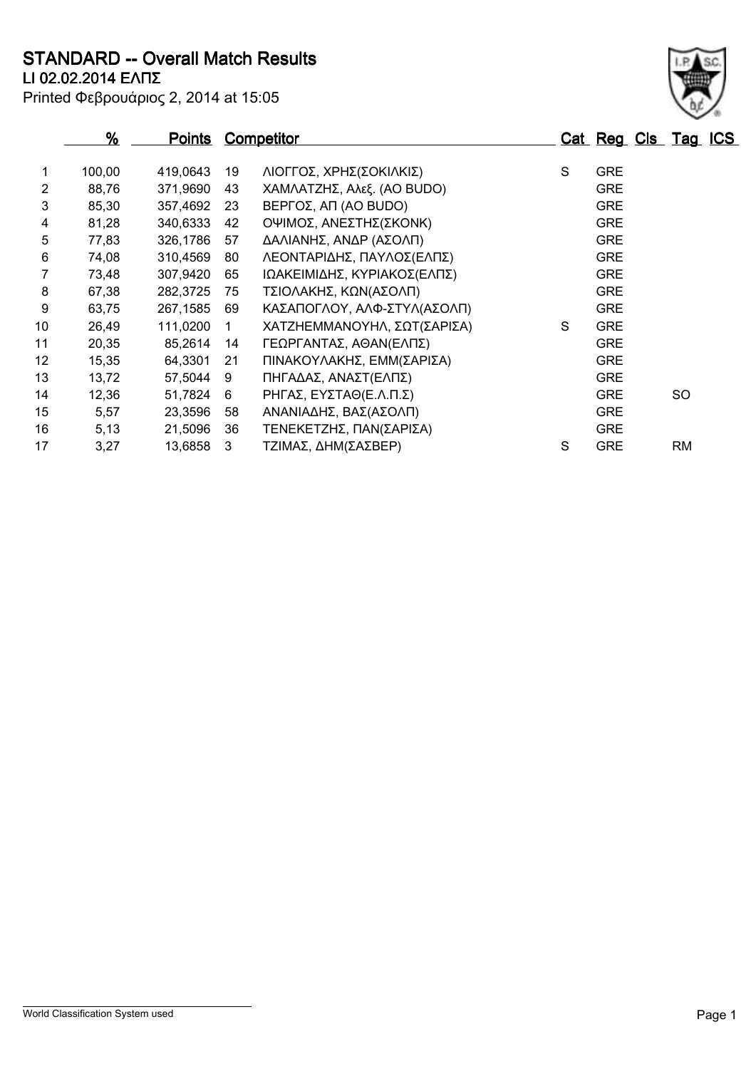**LI 02.02.2014 ΕΛΠΣ STANDARD -- Overall Match Results**

| Printed Φεβρουάριος 2, 2014 at 15:05 |  |  |  |
|--------------------------------------|--|--|--|
|--------------------------------------|--|--|--|

| 100,00 | 419,0643                         |                                              |                             |                                                                                                        |            |                                                      |
|--------|----------------------------------|----------------------------------------------|-----------------------------|--------------------------------------------------------------------------------------------------------|------------|------------------------------------------------------|
|        |                                  | 19                                           | ΛΙΟΓΓΟΣ, ΧΡΗΣ(ΣΟΚΙΛΚΙΣ)     | S                                                                                                      | <b>GRE</b> |                                                      |
|        |                                  |                                              |                             |                                                                                                        |            |                                                      |
|        |                                  |                                              |                             |                                                                                                        |            |                                                      |
|        |                                  | 42                                           |                             |                                                                                                        |            |                                                      |
|        |                                  | 57                                           |                             |                                                                                                        |            |                                                      |
| 74,08  | 310.4569                         | 80                                           | ΛΕΟΝΤΑΡΙΔΗΣ, ΠΑΥΛΟΣ(ΕΛΠΣ)   |                                                                                                        | <b>GRE</b> |                                                      |
| 73,48  | 307,9420                         | 65                                           | ΙΩΑΚΕΙΜΙΔΗΣ, ΚΥΡΙΑΚΟΣ(ΕΛΠΣ) |                                                                                                        | <b>GRE</b> |                                                      |
| 67,38  | 282,3725                         | 75                                           | ΤΣΙΟΛΑΚΗΣ, ΚΩΝ(ΑΣΟΛΠ)       |                                                                                                        | <b>GRE</b> |                                                      |
| 63,75  | 267,1585                         | 69                                           | ΚΑΣΑΠΟΓΛΟΥ, ΑΛΦ-ΣΤΥΛ(ΑΣΟΛΠ) |                                                                                                        | <b>GRE</b> |                                                      |
| 26,49  | 111,0200                         |                                              | ΧΑΤΖΗΕΜΜΑΝΟΥΗΛ, ΣΩΤ(ΣΑΡΙΣΑ) | S                                                                                                      | <b>GRE</b> |                                                      |
| 20,35  | 85,2614                          | 14                                           | ΓΕΩΡΓΑΝΤΑΣ, ΑΘΑΝ(ΕΛΠΣ)      |                                                                                                        | <b>GRE</b> |                                                      |
| 15,35  | 64,3301                          | 21                                           | ΠΙΝΑΚΟΥΛΑΚΗΣ, ΕΜΜ(ΣΑΡΙΣΑ)   |                                                                                                        | <b>GRE</b> |                                                      |
| 13,72  | 57,5044                          | 9                                            | ΠΗΓΑΔΑΣ, ΑΝΑΣΤ(ΕΛΠΣ)        |                                                                                                        | <b>GRE</b> |                                                      |
| 12,36  | 51,7824                          | 6                                            | ΡΗΓΑΣ, ΕΥΣΤΑΘ(Ε.Λ.Π.Σ)      |                                                                                                        | <b>GRE</b> | SO.                                                  |
| 5,57   | 23,3596                          | 58                                           | ΑΝΑΝΙΑΔΗΣ, ΒΑΣ(ΑΣΟΛΠ)       |                                                                                                        | <b>GRE</b> |                                                      |
| 5,13   | 21,5096                          | 36                                           | ΤΕΝΕΚΕΤΖΗΣ, ΠΑΝ(ΣΑΡΙΣΑ)     |                                                                                                        | <b>GRE</b> |                                                      |
| 3,27   | 13,6858                          | 3                                            | ΤΖΙΜΑΣ, ΔΗΜ(ΣΑΣΒΕΡ)         | S                                                                                                      | <b>GRE</b> | RM.                                                  |
|        | 88,76<br>85,30<br>81,28<br>77,83 | 371,9690<br>357,4692<br>340,6333<br>326,1786 | 43<br>23                    | ΧΑΜΛΑΤΖΗΣ, Αλεξ. (AO BUDO)<br>BEPΓΟΣ, ΑΠ (AO BUDO)<br>ΟΨΙΜΟΣ, ΑΝΕΣΤΗΣ(ΣΚΟΝΚ)<br>ΔΑΛΙΑΝΗΣ, ΑΝΔΡ (ΑΣΟΛΠ) |            | <b>GRE</b><br><b>GRE</b><br><b>GRE</b><br><b>GRE</b> |